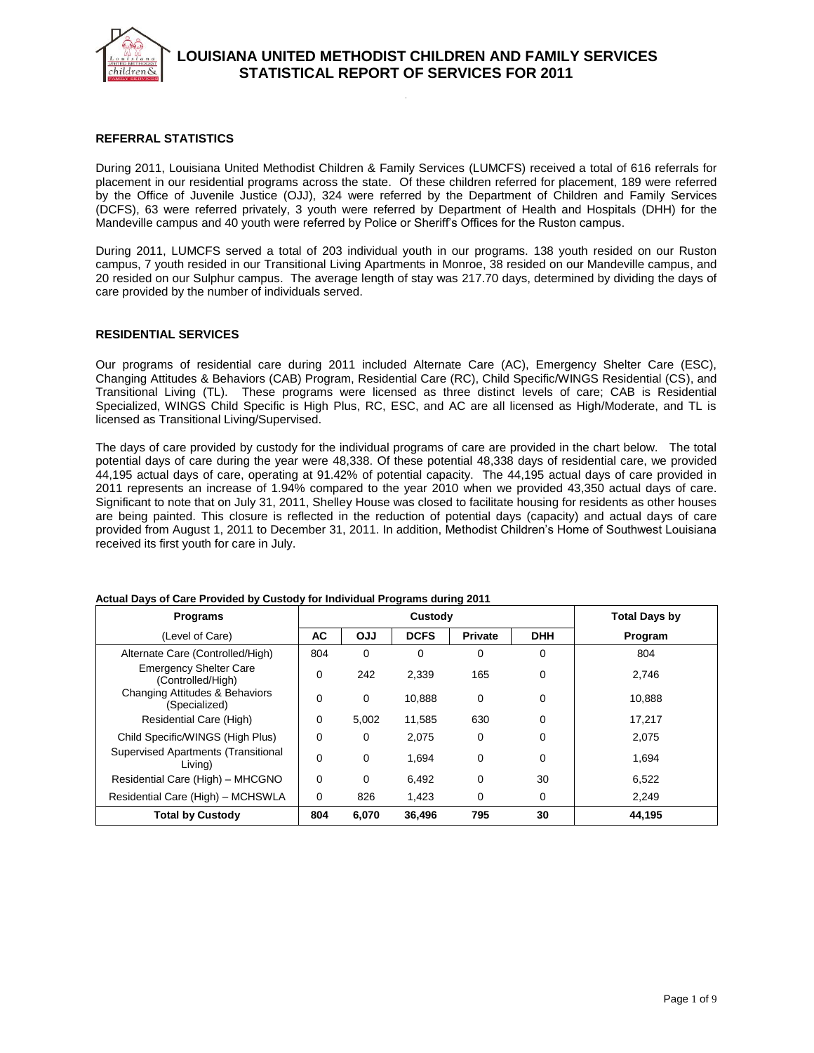

### **REFERRAL STATISTICS**

During 2011, Louisiana United Methodist Children & Family Services (LUMCFS) received a total of 616 referrals for placement in our residential programs across the state. Of these children referred for placement, 189 were referred by the Office of Juvenile Justice (OJJ), 324 were referred by the Department of Children and Family Services (DCFS), 63 were referred privately, 3 youth were referred by Department of Health and Hospitals (DHH) for the Mandeville campus and 40 youth were referred by Police or Sheriff's Offices for the Ruston campus.

During 2011, LUMCFS served a total of 203 individual youth in our programs. 138 youth resided on our Ruston campus, 7 youth resided in our Transitional Living Apartments in Monroe, 38 resided on our Mandeville campus, and 20 resided on our Sulphur campus. The average length of stay was 217.70 days, determined by dividing the days of care provided by the number of individuals served.

#### **RESIDENTIAL SERVICES**

Our programs of residential care during 2011 included Alternate Care (AC), Emergency Shelter Care (ESC), Changing Attitudes & Behaviors (CAB) Program, Residential Care (RC), Child Specific/WINGS Residential (CS), and Transitional Living (TL). These programs were licensed as three distinct levels of care; CAB is Residential Specialized, WINGS Child Specific is High Plus, RC, ESC, and AC are all licensed as High/Moderate, and TL is licensed as Transitional Living/Supervised.

The days of care provided by custody for the individual programs of care are provided in the chart below. The total potential days of care during the year were 48,338. Of these potential 48,338 days of residential care, we provided 44,195 actual days of care, operating at 91.42% of potential capacity. The 44,195 actual days of care provided in 2011 represents an increase of 1.94% compared to the year 2010 when we provided 43,350 actual days of care. Significant to note that on July 31, 2011, Shelley House was closed to facilitate housing for residents as other houses are being painted. This closure is reflected in the reduction of potential days (capacity) and actual days of care provided from August 1, 2011 to December 31, 2011. In addition, Methodist Children's Home of Southwest Louisiana received its first youth for care in July.

| <b>Programs</b>                                    |     |             | <b>Total Days by</b> |                |             |         |
|----------------------------------------------------|-----|-------------|----------------------|----------------|-------------|---------|
| (Level of Care)                                    | AC  | <b>OJJ</b>  | <b>DCFS</b>          | <b>Private</b> | <b>DHH</b>  | Program |
| Alternate Care (Controlled/High)                   | 804 | $\mathbf 0$ | 0                    | 0              | $\Omega$    | 804     |
| <b>Emergency Shelter Care</b><br>(Controlled/High) | 0   | 242         | 2.339                | 165            | 0           | 2.746   |
| Changing Attitudes & Behaviors<br>(Specialized)    | 0   | $\mathbf 0$ | 10.888               | 0              | $\mathbf 0$ | 10,888  |
| Residential Care (High)                            | 0   | 5.002       | 11.585               | 630            | 0           | 17,217  |
| Child Specific/WINGS (High Plus)                   | 0   | $\Omega$    | 2.075                | 0              | 0           | 2.075   |
| Supervised Apartments (Transitional<br>Livina)     | 0   | $\mathbf 0$ | 1.694                | 0              | 0           | 1.694   |
| Residential Care (High) - MHCGNO                   | 0   | 0           | 6.492                | 0              | 30          | 6,522   |
| Residential Care (High) - MCHSWLA                  | 0   | 826         | 1,423                | 0              | 0           | 2,249   |
| <b>Total by Custody</b>                            | 804 | 6.070       | 36,496               | 795            | 30          | 44,195  |

#### **Actual Days of Care Provided by Custody for Individual Programs during 2011**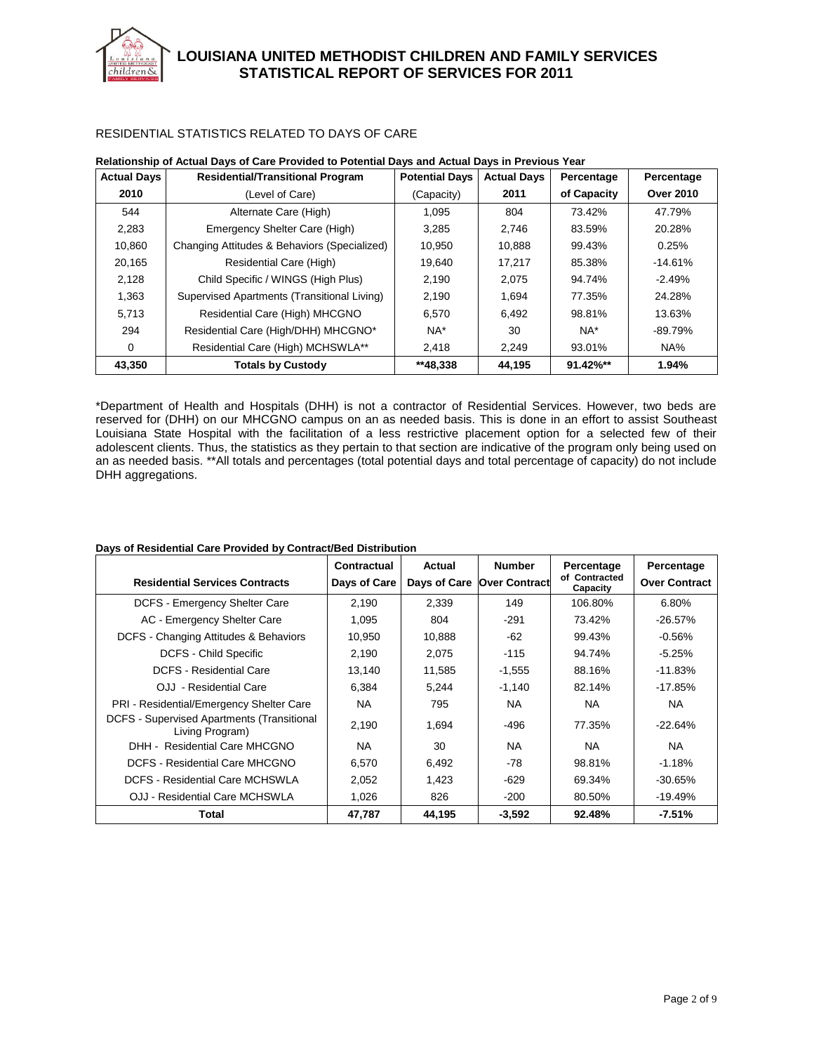## RESIDENTIAL STATISTICS RELATED TO DAYS OF CARE

hildren&

| <b>Actual Days</b> | <b>Residential/Transitional Program</b>      | <b>Potential Days</b> | <b>Actual Days</b> | Percentage  | Percentage       |
|--------------------|----------------------------------------------|-----------------------|--------------------|-------------|------------------|
| 2010               | (Level of Care)                              | (Capacity)            | 2011               | of Capacity | <b>Over 2010</b> |
| 544                | Alternate Care (High)                        | 1.095                 | 804                | 73.42%      | 47.79%           |
| 2,283              | Emergency Shelter Care (High)                | 3,285                 | 2,746              | 83.59%      | 20.28%           |
| 10.860             | Changing Attitudes & Behaviors (Specialized) | 10.950                | 10.888             | 99.43%      | 0.25%            |
| 20,165             | Residential Care (High)                      | 19,640                | 17,217             | 85.38%      | $-14.61%$        |
| 2,128              | Child Specific / WINGS (High Plus)           | 2.190                 | 2,075              | 94.74%      | $-2.49%$         |
| 1,363              | Supervised Apartments (Transitional Living)  | 2.190                 | 1.694              | 77.35%      | 24.28%           |
| 5,713              | Residential Care (High) MHCGNO               | 6.570                 | 6.492              | 98.81%      | 13.63%           |
| 294                | Residential Care (High/DHH) MHCGNO*          | $NA*$                 | 30                 | NA*         | $-89.79%$        |
| 0                  | Residential Care (High) MCHSWLA**            | 2,418                 | 2.249              | 93.01%      | NA%              |
| 43,350             | <b>Totals by Custody</b>                     | **48.338              | 44.195             | 91.42%**    | 1.94%            |

#### **Relationship of Actual Days of Care Provided to Potential Days and Actual Days in Previous Year**

\*Department of Health and Hospitals (DHH) is not a contractor of Residential Services. However, two beds are reserved for (DHH) on our MHCGNO campus on an as needed basis. This is done in an effort to assist Southeast Louisiana State Hospital with the facilitation of a less restrictive placement option for a selected few of their adolescent clients. Thus, the statistics as they pertain to that section are indicative of the program only being used on an as needed basis. \*\*All totals and percentages (total potential days and total percentage of capacity) do not include DHH aggregations.

| Days of Residential Care Provided by Contract/Bed Distribution |  |  |
|----------------------------------------------------------------|--|--|
|                                                                |  |  |

| <b>Residential Services Contracts</b>                         | Contractual<br>Days of Care | Actual | <b>Number</b><br>Days of Care Over Contract | Percentage<br>of Contracted<br>Capacity | Percentage<br><b>Over Contract</b> |
|---------------------------------------------------------------|-----------------------------|--------|---------------------------------------------|-----------------------------------------|------------------------------------|
| DCFS - Emergency Shelter Care                                 | 2.190                       | 2.339  | 149                                         | 106.80%                                 | 6.80%                              |
| AC - Emergency Shelter Care                                   | 1.095                       | 804    | $-291$                                      | 73.42%                                  | $-26.57%$                          |
| DCFS - Changing Attitudes & Behaviors                         | 10,950                      | 10,888 | $-62$                                       | 99.43%                                  | $-0.56%$                           |
| <b>DCFS - Child Specific</b>                                  | 2,190                       | 2.075  | $-115$                                      | 94.74%                                  | $-5.25%$                           |
| <b>DCFS - Residential Care</b>                                | 13,140                      | 11,585 | $-1,555$                                    | 88.16%                                  | $-11.83%$                          |
| OJJ - Residential Care                                        | 6.384                       | 5.244  | $-1,140$                                    | 82.14%                                  | $-17.85%$                          |
| PRI - Residential/Emergency Shelter Care                      | <b>NA</b>                   | 795    | <b>NA</b>                                   | NA.                                     | <b>NA</b>                          |
| DCFS - Supervised Apartments (Transitional<br>Living Program) | 2.190                       | 1,694  | -496                                        | 77.35%                                  | $-22.64%$                          |
| DHH - Residential Care MHCGNO                                 | <b>NA</b>                   | 30     | <b>NA</b>                                   | NA.                                     | NA.                                |
| DCFS - Residential Care MHCGNO                                | 6,570                       | 6.492  | -78                                         | 98.81%                                  | $-1.18%$                           |
| DCFS - Residential Care MCHSWLA                               | 2,052                       | 1.423  | $-629$                                      | 69.34%                                  | $-30.65%$                          |
| OJJ - Residential Care MCHSWLA                                | 1,026                       | 826    | $-200$                                      | 80.50%                                  | $-19.49%$                          |
| Total                                                         | 47,787                      | 44,195 | $-3,592$                                    | 92.48%                                  | $-7.51%$                           |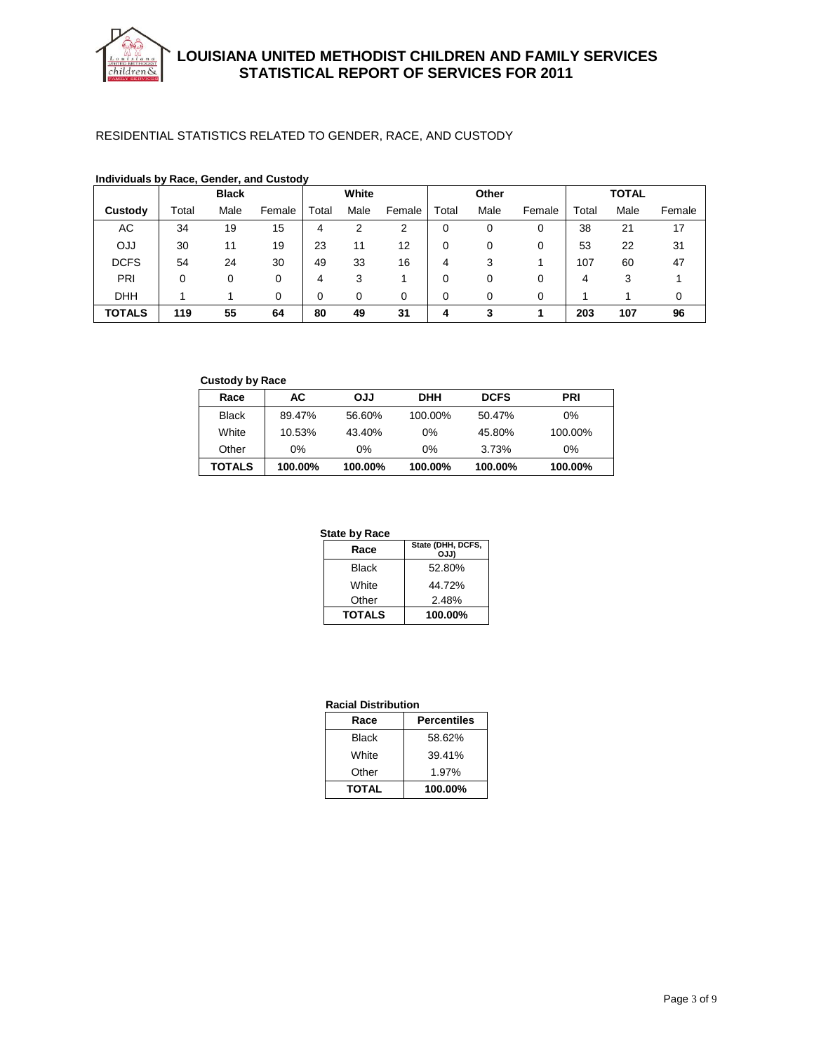

## RESIDENTIAL STATISTICS RELATED TO GENDER, RACE, AND CUSTODY

|               |       | <b>Black</b> |        |       | White |        |          | Other |        |       | <b>TOTAL</b> |        |
|---------------|-------|--------------|--------|-------|-------|--------|----------|-------|--------|-------|--------------|--------|
| Custody       | Total | Male         | Female | Total | Male  | Female | Total    | Male  | Female | Total | Male         | Female |
| AC            | 34    | 19           | 15     | 4     | 2     | 2      | 0        | 0     | 0      | 38    | 21           | 17     |
| <b>DJJ</b>    | 30    | 11           | 19     | 23    | 11    | 12     | 0        | 0     | 0      | 53    | 22           | 31     |
| <b>DCFS</b>   | 54    | 24           | 30     | 49    | 33    | 16     | 4        | 3     |        | 107   | 60           | 47     |
| PRI           | 0     | 0            | 0      | 4     | 3     |        | 0        | 0     | 0      | 4     | 3            |        |
| <b>DHH</b>    |       |              | 0      | 0     | 0     | 0      | $\Omega$ | 0     | 0      |       |              | 0      |
| <b>TOTALS</b> | 119   | 55           | 64     | 80    | 49    | 31     | 4        | 3     |        | 203   | 107          | 96     |

# **Individuals by Race, Gender, and Custody**

## **Custody by Race**

| Race         | AC.     | <b>LLO</b> | <b>DHH</b> | <b>DCFS</b> | PRI     |
|--------------|---------|------------|------------|-------------|---------|
| <b>Black</b> | 89.47%  | 56.60%     | 100.00%    | 50.47%      | $0\%$   |
| White        | 10.53%  | 43.40%     | $0\%$      | 45.80%      | 100.00% |
| Other        | 0%      | 0%         | 0%         | 3.73%       | $0\%$   |
| TOTALS       | 100.00% | 100.00%    | 100.00%    | 100.00%     | 100.00% |

#### **State by Race**

| Race          | State (DHH, DCFS,<br>OJJ) |
|---------------|---------------------------|
| Black         | 52.80%                    |
| White         | 44.72%                    |
| Other         | 2.48%                     |
| <b>TOTALS</b> | 100.00%                   |

#### **Racial Distribution**

| Race         | <b>Percentiles</b> |
|--------------|--------------------|
| Black        | 58.62%             |
| White        | 39.41%             |
| Other        | 1.97%              |
| <b>TOTAL</b> | 100.00%            |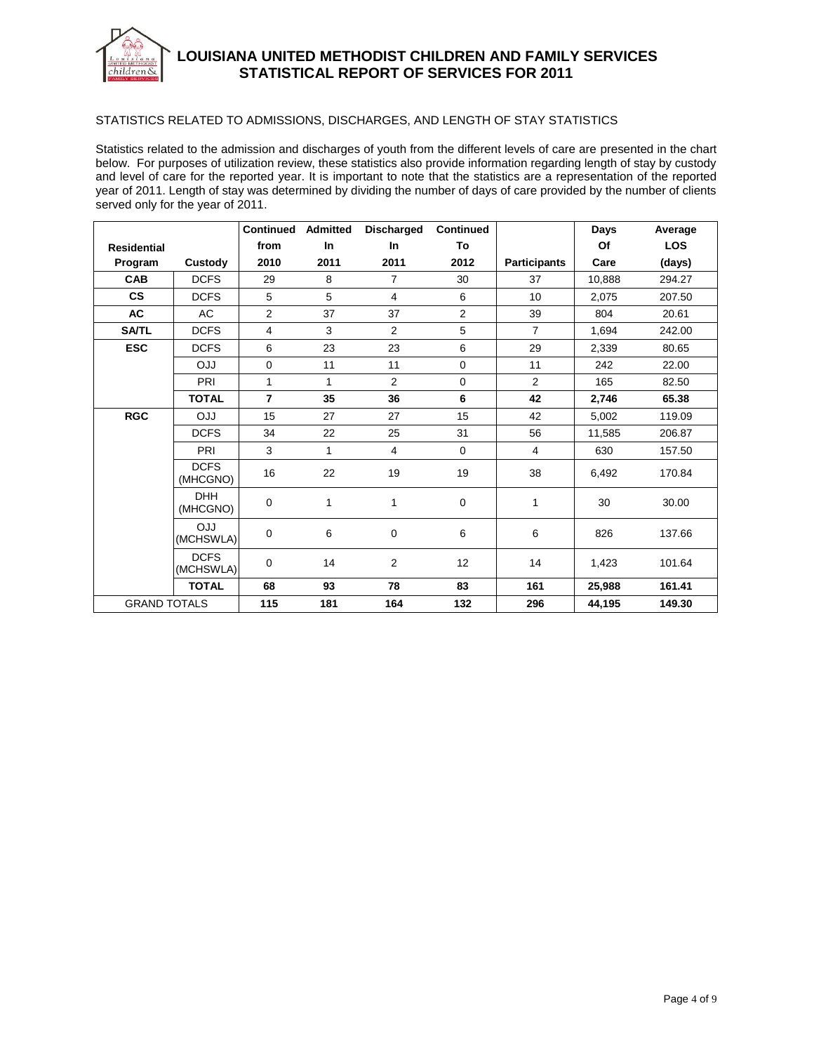

## **LOUISIANA UNITED METHODIST CHILDREN AND FAMILY SERVICES STATISTICAL REPORT OF SERVICES FOR 2011**

#### STATISTICS RELATED TO ADMISSIONS, DISCHARGES, AND LENGTH OF STAY STATISTICS

Statistics related to the admission and discharges of youth from the different levels of care are presented in the chart below. For purposes of utilization review, these statistics also provide information regarding length of stay by custody and level of care for the reported year. It is important to note that the statistics are a representation of the reported year of 2011. Length of stay was determined by dividing the number of days of care provided by the number of clients served only for the year of 2011.

|                     |                          | <b>Continued</b> | Admitted  | <b>Discharged</b> | <b>Continued</b> |                     | Days   | Average    |
|---------------------|--------------------------|------------------|-----------|-------------------|------------------|---------------------|--------|------------|
| <b>Residential</b>  |                          | from             | <b>In</b> | In                | To               |                     | Of     | <b>LOS</b> |
| Program             | Custody                  | 2010             | 2011      | 2011              | 2012             | <b>Participants</b> | Care   | (days)     |
| <b>CAB</b>          | <b>DCFS</b>              | 29               | 8         | $\overline{7}$    | 30               | 37                  | 10,888 | 294.27     |
| <b>CS</b>           | <b>DCFS</b>              | 5                | 5         | $\overline{4}$    | 6                | 10                  | 2.075  | 207.50     |
| AC                  | AC                       | $\overline{2}$   | 37        | 37                | $\overline{2}$   | 39                  | 804    | 20.61      |
| <b>SA/TL</b>        | <b>DCFS</b>              | 4                | 3         | $\overline{2}$    | 5                | $\overline{7}$      | 1,694  | 242.00     |
| <b>ESC</b>          | <b>DCFS</b>              | 6                | 23        | 23                | 6                | 29                  | 2.339  | 80.65      |
|                     | <b>LLO</b>               | $\mathbf 0$      | 11        | 11                | $\pmb{0}$        | 11                  | 242    | 22.00      |
|                     | <b>PRI</b>               | $\mathbf{1}$     | 1         | $\overline{2}$    | 0                | 2                   | 165    | 82.50      |
|                     | <b>TOTAL</b>             | $\overline{7}$   | 35        | 36                | 6                | 42                  | 2,746  | 65.38      |
| <b>RGC</b>          | <b>LLO</b>               | 15               | 27        | 27                | 15               | 42                  | 5.002  | 119.09     |
|                     | <b>DCFS</b>              | 34               | 22        | 25                | 31               | 56                  | 11,585 | 206.87     |
|                     | PRI                      | 3                | 1         | 4                 | 0                | $\overline{4}$      | 630    | 157.50     |
|                     | <b>DCFS</b><br>(MHCGNO)  | 16               | 22        | 19                | 19               | 38                  | 6,492  | 170.84     |
|                     | <b>DHH</b><br>(MHCGNO)   | 0                | 1         | 1                 | 0                | 1                   | 30     | 30.00      |
|                     | <b>LLO</b><br>(MCHSWLA)  | 0                | 6         | 0                 | 6                | 6                   | 826    | 137.66     |
|                     | <b>DCFS</b><br>(MCHSWLA) | $\Omega$         | 14        | 2                 | 12               | 14                  | 1,423  | 101.64     |
|                     | <b>TOTAL</b>             | 68               | 93        | 78                | 83               | 161                 | 25,988 | 161.41     |
| <b>GRAND TOTALS</b> |                          | 115              | 181       | 164               | 132              | 296                 | 44,195 | 149.30     |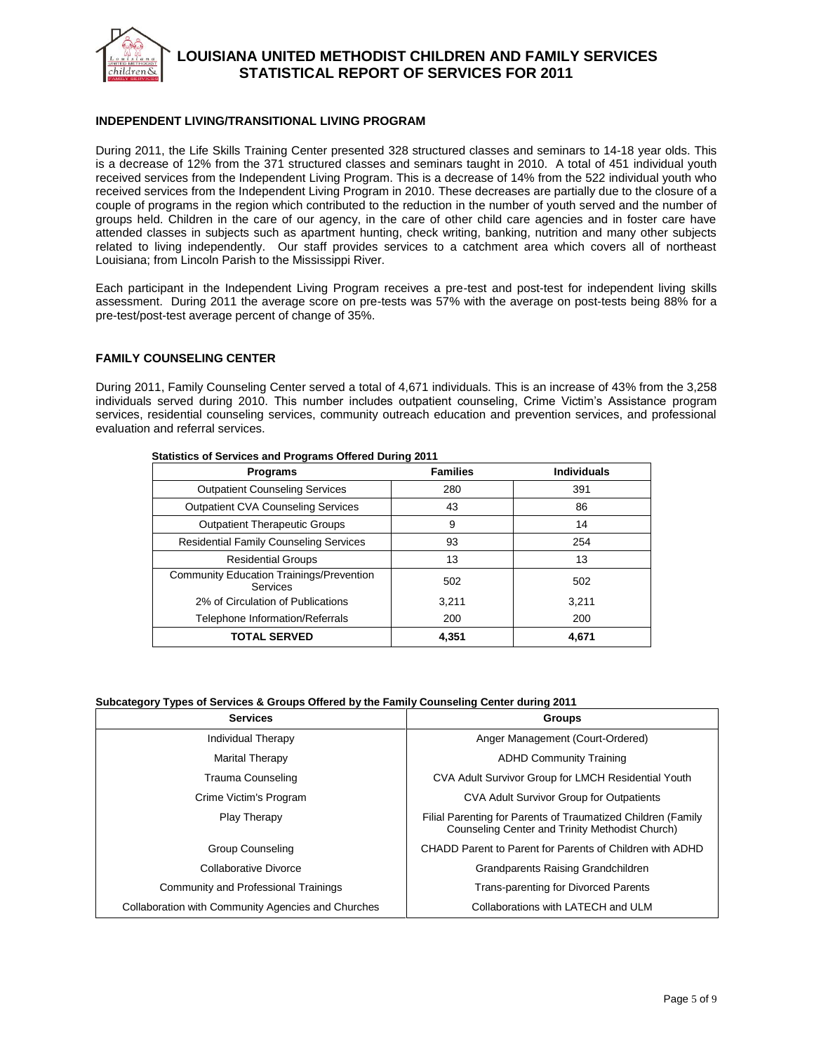

## **LOUISIANA UNITED METHODIST CHILDREN AND FAMILY SERVICES STATISTICAL REPORT OF SERVICES FOR 2011**

### **INDEPENDENT LIVING/TRANSITIONAL LIVING PROGRAM**

During 2011, the Life Skills Training Center presented 328 structured classes and seminars to 14-18 year olds. This is a decrease of 12% from the 371 structured classes and seminars taught in 2010. A total of 451 individual youth received services from the Independent Living Program. This is a decrease of 14% from the 522 individual youth who received services from the Independent Living Program in 2010. These decreases are partially due to the closure of a couple of programs in the region which contributed to the reduction in the number of youth served and the number of groups held. Children in the care of our agency, in the care of other child care agencies and in foster care have attended classes in subjects such as apartment hunting, check writing, banking, nutrition and many other subjects related to living independently. Our staff provides services to a catchment area which covers all of northeast Louisiana; from Lincoln Parish to the Mississippi River.

Each participant in the Independent Living Program receives a pre-test and post-test for independent living skills assessment. During 2011 the average score on pre-tests was 57% with the average on post-tests being 88% for a pre-test/post-test average percent of change of 35%.

#### **FAMILY COUNSELING CENTER**

During 2011, Family Counseling Center served a total of 4,671 individuals. This is an increase of 43% from the 3,258 individuals served during 2010. This number includes outpatient counseling, Crime Victim's Assistance program services, residential counseling services, community outreach education and prevention services, and professional evaluation and referral services.

| <b>Programs</b>                                             | <b>Families</b> | <b>Individuals</b> |  |  |
|-------------------------------------------------------------|-----------------|--------------------|--|--|
| <b>Outpatient Counseling Services</b>                       | 280             | 391                |  |  |
| <b>Outpatient CVA Counseling Services</b>                   | 43              | 86                 |  |  |
| <b>Outpatient Therapeutic Groups</b>                        | 9               | 14                 |  |  |
| <b>Residential Family Counseling Services</b>               | 93              | 254                |  |  |
| <b>Residential Groups</b>                                   | 13              | 13                 |  |  |
| <b>Community Education Trainings/Prevention</b><br>Services | 502             | 502                |  |  |
| 2% of Circulation of Publications                           | 3.211           | 3.211              |  |  |
| Telephone Information/Referrals                             | 200             | 200                |  |  |
| <b>TOTAL SERVED</b>                                         | 4.351           | 4.671              |  |  |

#### **Statistics of Services and Programs Offered During 2011**

### **Subcategory Types of Services & Groups Offered by the Family Counseling Center during 2011**

| <b>Services</b>                                    | <b>Groups</b>                                                                                                   |
|----------------------------------------------------|-----------------------------------------------------------------------------------------------------------------|
| Individual Therapy                                 | Anger Management (Court-Ordered)                                                                                |
| <b>Marital Therapy</b>                             | <b>ADHD Community Training</b>                                                                                  |
| Trauma Counseling                                  | CVA Adult Survivor Group for LMCH Residential Youth                                                             |
| Crime Victim's Program                             | <b>CVA Adult Survivor Group for Outpatients</b>                                                                 |
| <b>Play Therapy</b>                                | Filial Parenting for Parents of Traumatized Children (Family<br>Counseling Center and Trinity Methodist Church) |
| <b>Group Counseling</b>                            | CHADD Parent to Parent for Parents of Children with ADHD                                                        |
| Collaborative Divorce                              | Grandparents Raising Grandchildren                                                                              |
| Community and Professional Trainings               | <b>Trans-parenting for Divorced Parents</b>                                                                     |
| Collaboration with Community Agencies and Churches | Collaborations with LATECH and ULM                                                                              |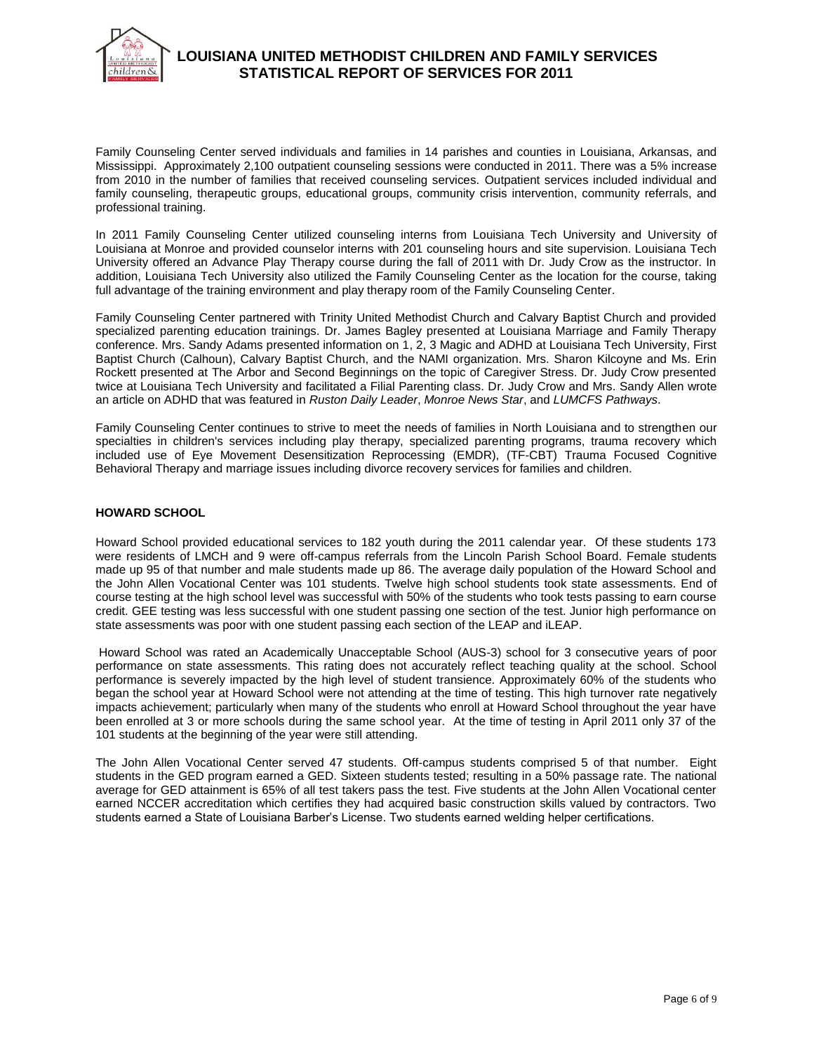

Family Counseling Center served individuals and families in 14 parishes and counties in Louisiana, Arkansas, and Mississippi. Approximately 2,100 outpatient counseling sessions were conducted in 2011. There was a 5% increase from 2010 in the number of families that received counseling services. Outpatient services included individual and family counseling, therapeutic groups, educational groups, community crisis intervention, community referrals, and professional training.

In 2011 Family Counseling Center utilized counseling interns from Louisiana Tech University and University of Louisiana at Monroe and provided counselor interns with 201 counseling hours and site supervision. Louisiana Tech University offered an Advance Play Therapy course during the fall of 2011 with Dr. Judy Crow as the instructor. In addition, Louisiana Tech University also utilized the Family Counseling Center as the location for the course, taking full advantage of the training environment and play therapy room of the Family Counseling Center.

Family Counseling Center partnered with Trinity United Methodist Church and Calvary Baptist Church and provided specialized parenting education trainings. Dr. James Bagley presented at Louisiana Marriage and Family Therapy conference. Mrs. Sandy Adams presented information on 1, 2, 3 Magic and ADHD at Louisiana Tech University, First Baptist Church (Calhoun), Calvary Baptist Church, and the NAMI organization. Mrs. Sharon Kilcoyne and Ms. Erin Rockett presented at The Arbor and Second Beginnings on the topic of Caregiver Stress. Dr. Judy Crow presented twice at Louisiana Tech University and facilitated a Filial Parenting class. Dr. Judy Crow and Mrs. Sandy Allen wrote an article on ADHD that was featured in *Ruston Daily Leader*, *Monroe News Star*, and *LUMCFS Pathways*.

Family Counseling Center continues to strive to meet the needs of families in North Louisiana and to strengthen our specialties in children's services including play therapy, specialized parenting programs, trauma recovery which included use of Eye Movement Desensitization Reprocessing (EMDR), (TF-CBT) Trauma Focused Cognitive Behavioral Therapy and marriage issues including divorce recovery services for families and children.

## **HOWARD SCHOOL**

Howard School provided educational services to 182 youth during the 2011 calendar year. Of these students 173 were residents of LMCH and 9 were off-campus referrals from the Lincoln Parish School Board. Female students made up 95 of that number and male students made up 86. The average daily population of the Howard School and the John Allen Vocational Center was 101 students. Twelve high school students took state assessments. End of course testing at the high school level was successful with 50% of the students who took tests passing to earn course credit. GEE testing was less successful with one student passing one section of the test. Junior high performance on state assessments was poor with one student passing each section of the LEAP and iLEAP.

Howard School was rated an Academically Unacceptable School (AUS-3) school for 3 consecutive years of poor performance on state assessments. This rating does not accurately reflect teaching quality at the school. School performance is severely impacted by the high level of student transience. Approximately 60% of the students who began the school year at Howard School were not attending at the time of testing. This high turnover rate negatively impacts achievement; particularly when many of the students who enroll at Howard School throughout the year have been enrolled at 3 or more schools during the same school year. At the time of testing in April 2011 only 37 of the 101 students at the beginning of the year were still attending.

The John Allen Vocational Center served 47 students. Off-campus students comprised 5 of that number. Eight students in the GED program earned a GED. Sixteen students tested; resulting in a 50% passage rate. The national average for GED attainment is 65% of all test takers pass the test. Five students at the John Allen Vocational center earned NCCER accreditation which certifies they had acquired basic construction skills valued by contractors. Two students earned a State of Louisiana Barber's License. Two students earned welding helper certifications.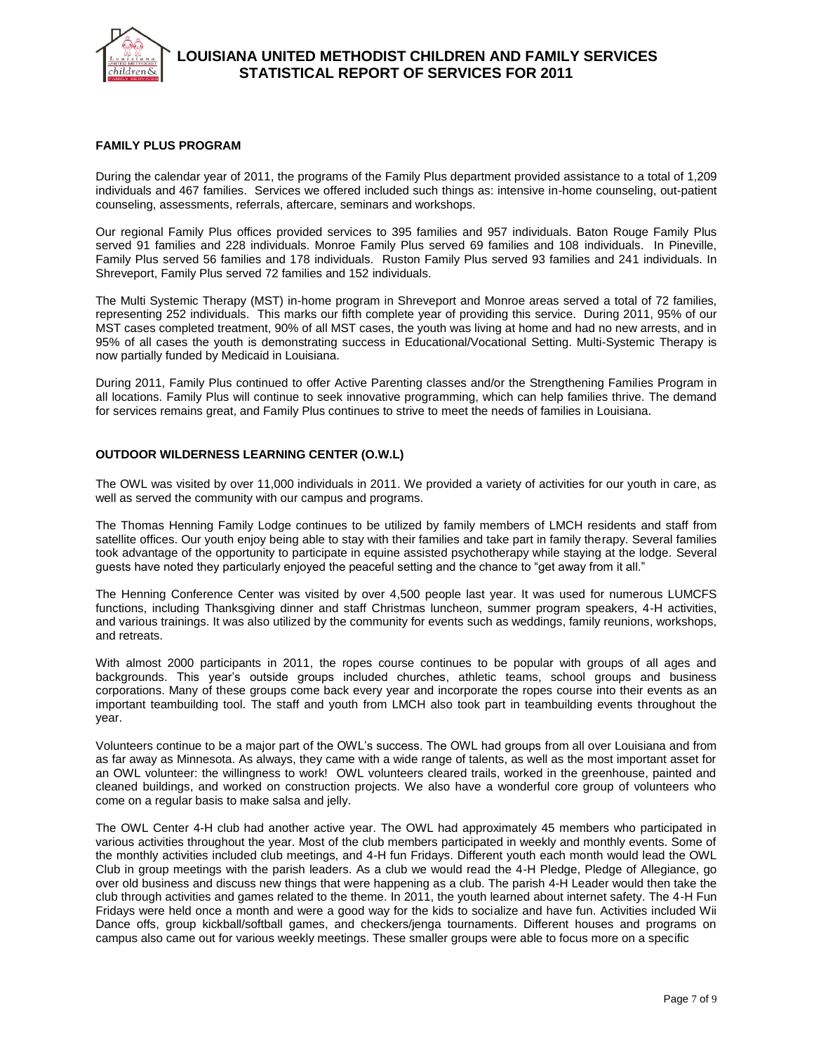

### **FAMILY PLUS PROGRAM**

During the calendar year of 2011, the programs of the Family Plus department provided assistance to a total of 1,209 individuals and 467 families. Services we offered included such things as: intensive in-home counseling, out-patient counseling, assessments, referrals, aftercare, seminars and workshops.

Our regional Family Plus offices provided services to 395 families and 957 individuals. Baton Rouge Family Plus served 91 families and 228 individuals. Monroe Family Plus served 69 families and 108 individuals. In Pineville, Family Plus served 56 families and 178 individuals. Ruston Family Plus served 93 families and 241 individuals. In Shreveport, Family Plus served 72 families and 152 individuals.

The Multi Systemic Therapy (MST) in-home program in Shreveport and Monroe areas served a total of 72 families, representing 252 individuals. This marks our fifth complete year of providing this service. During 2011, 95% of our MST cases completed treatment, 90% of all MST cases, the youth was living at home and had no new arrests, and in 95% of all cases the youth is demonstrating success in Educational/Vocational Setting. Multi-Systemic Therapy is now partially funded by Medicaid in Louisiana.

During 2011, Family Plus continued to offer Active Parenting classes and/or the Strengthening Families Program in all locations. Family Plus will continue to seek innovative programming, which can help families thrive. The demand for services remains great, and Family Plus continues to strive to meet the needs of families in Louisiana.

## **OUTDOOR WILDERNESS LEARNING CENTER (O.W.L)**

The OWL was visited by over 11,000 individuals in 2011. We provided a variety of activities for our youth in care, as well as served the community with our campus and programs.

The Thomas Henning Family Lodge continues to be utilized by family members of LMCH residents and staff from satellite offices. Our youth enjoy being able to stay with their families and take part in family therapy. Several families took advantage of the opportunity to participate in equine assisted psychotherapy while staying at the lodge. Several guests have noted they particularly enjoyed the peaceful setting and the chance to "get away from it all."

The Henning Conference Center was visited by over 4,500 people last year. It was used for numerous LUMCFS functions, including Thanksgiving dinner and staff Christmas luncheon, summer program speakers, 4-H activities, and various trainings. It was also utilized by the community for events such as weddings, family reunions, workshops, and retreats.

With almost 2000 participants in 2011, the ropes course continues to be popular with groups of all ages and backgrounds. This year's outside groups included churches, athletic teams, school groups and business corporations. Many of these groups come back every year and incorporate the ropes course into their events as an important teambuilding tool. The staff and youth from LMCH also took part in teambuilding events throughout the year.

Volunteers continue to be a major part of the OWL's success. The OWL had groups from all over Louisiana and from as far away as Minnesota. As always, they came with a wide range of talents, as well as the most important asset for an OWL volunteer: the willingness to work! OWL volunteers cleared trails, worked in the greenhouse, painted and cleaned buildings, and worked on construction projects. We also have a wonderful core group of volunteers who come on a regular basis to make salsa and jelly.

The OWL Center 4-H club had another active year. The OWL had approximately 45 members who participated in various activities throughout the year. Most of the club members participated in weekly and monthly events. Some of the monthly activities included club meetings, and 4-H fun Fridays. Different youth each month would lead the OWL Club in group meetings with the parish leaders. As a club we would read the 4-H Pledge, Pledge of Allegiance, go over old business and discuss new things that were happening as a club. The parish 4-H Leader would then take the club through activities and games related to the theme. In 2011, the youth learned about internet safety. The 4-H Fun Fridays were held once a month and were a good way for the kids to socialize and have fun. Activities included Wii Dance offs, group kickball/softball games, and checkers/jenga tournaments. Different houses and programs on campus also came out for various weekly meetings. These smaller groups were able to focus more on a specific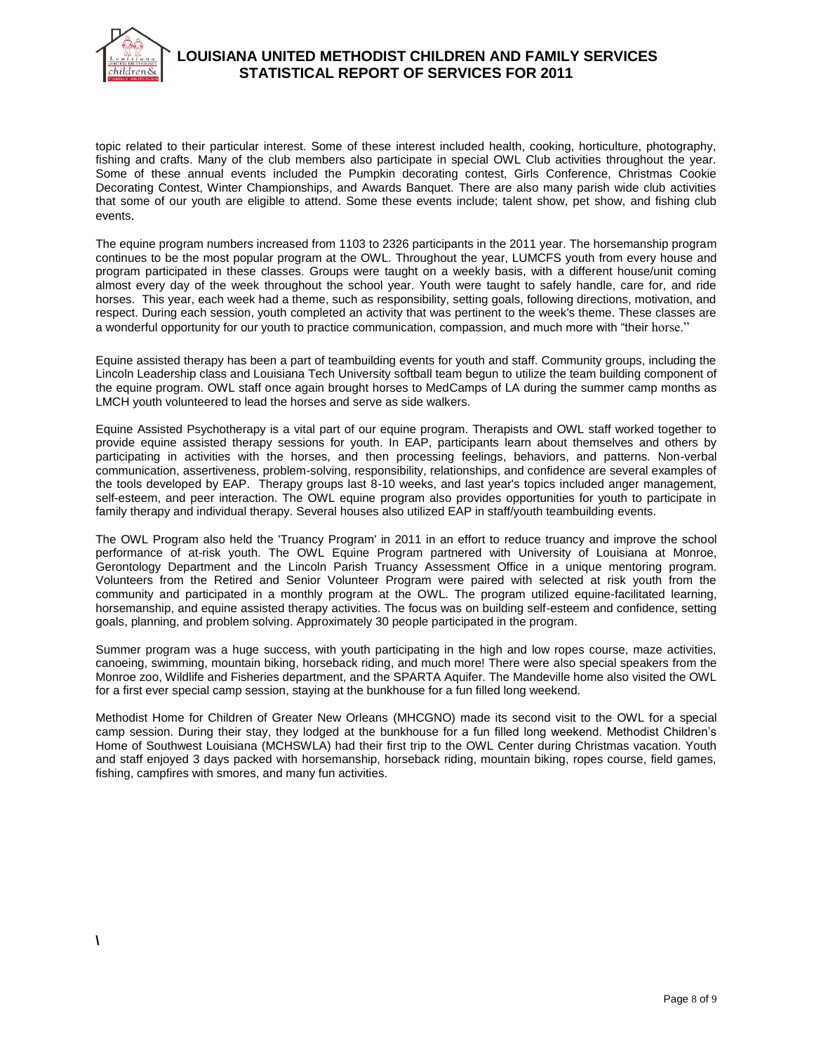

# **LOUISIANA UNITED METHODIST CHILDREN AND FAMILY SERVICES STATISTICAL REPORT OF SERVICES FOR 2011**

topic related to their particular interest. Some of these interest included health, cooking, horticulture, photography, fishing and crafts. Many of the club members also participate in special OWL Club activities throughout the year. Some of these annual events included the Pumpkin decorating contest, Girls Conference, Christmas Cookie Decorating Contest, Winter Championships, and Awards Banquet. There are also many parish wide club activities that some of our youth are eligible to attend. Some these events include; talent show, pet show, and fishing club events.

The equine program numbers increased from 1103 to 2326 participants in the 2011 year. The horsemanship program continues to be the most popular program at the OWL. Throughout the year, LUMCFS youth from every house and program participated in these classes. Groups were taught on a weekly basis, with a different house/unit coming almost every day of the week throughout the school year. Youth were taught to safely handle, care for, and ride horses. This year, each week had a theme, such as responsibility, setting goals, following directions, motivation, and respect. During each session, youth completed an activity that was pertinent to the week's theme. These classes are a wonderful opportunity for our youth to practice communication, compassion, and much more with "their horse."

Equine assisted therapy has been a part of teambuilding events for youth and staff. Community groups, including the Lincoln Leadership class and Louisiana Tech University softball team begun to utilize the team building component of the equine program. OWL staff once again brought horses to MedCamps of LA during the summer camp months as LMCH youth volunteered to lead the horses and serve as side walkers.

Equine Assisted Psychotherapy is a vital part of our equine program. Therapists and OWL staff worked together to provide equine assisted therapy sessions for youth. In EAP, participants learn about themselves and others by participating in activities with the horses, and then processing feelings, behaviors, and patterns. Non-verbal communication, assertiveness, problem-solving, responsibility, relationships, and confidence are several examples of the tools developed by EAP. Therapy groups last 8-10 weeks, and last year's topics included anger management, self-esteem, and peer interaction. The OWL equine program also provides opportunities for youth to participate in family therapy and individual therapy. Several houses also utilized EAP in staff/youth teambuilding events.

The OWL Program also held the 'Truancy Program' in 2011 in an effort to reduce truancy and improve the school performance of at-risk youth. The OWL Equine Program partnered with University of Louisiana at Monroe, Gerontology Department and the Lincoln Parish Truancy Assessment Office in a unique mentoring program. Volunteers from the Retired and Senior Volunteer Program were paired with selected at risk youth from the community and participated in a monthly program at the OWL. The program utilized equine-facilitated learning, horsemanship, and equine assisted therapy activities. The focus was on building self-esteem and confidence, setting goals, planning, and problem solving. Approximately 30 people participated in the program.

Summer program was a huge success, with youth participating in the high and low ropes course, maze activities, canoeing, swimming, mountain biking, horseback riding, and much more! There were also special speakers from the Monroe zoo, Wildlife and Fisheries department, and the SPARTA Aquifer. The Mandeville home also visited the OWL for a first ever special camp session, staying at the bunkhouse for a fun filled long weekend.

Methodist Home for Children of Greater New Orleans (MHCGNO) made its second visit to the OWL for a special camp session. During their stay, they lodged at the bunkhouse for a fun filled long weekend. Methodist Children's Home of Southwest Louisiana (MCHSWLA) had their first trip to the OWL Center during Christmas vacation. Youth and staff enjoyed 3 days packed with horsemanship, horseback riding, mountain biking, ropes course, field games, fishing, campfires with smores, and many fun activities.